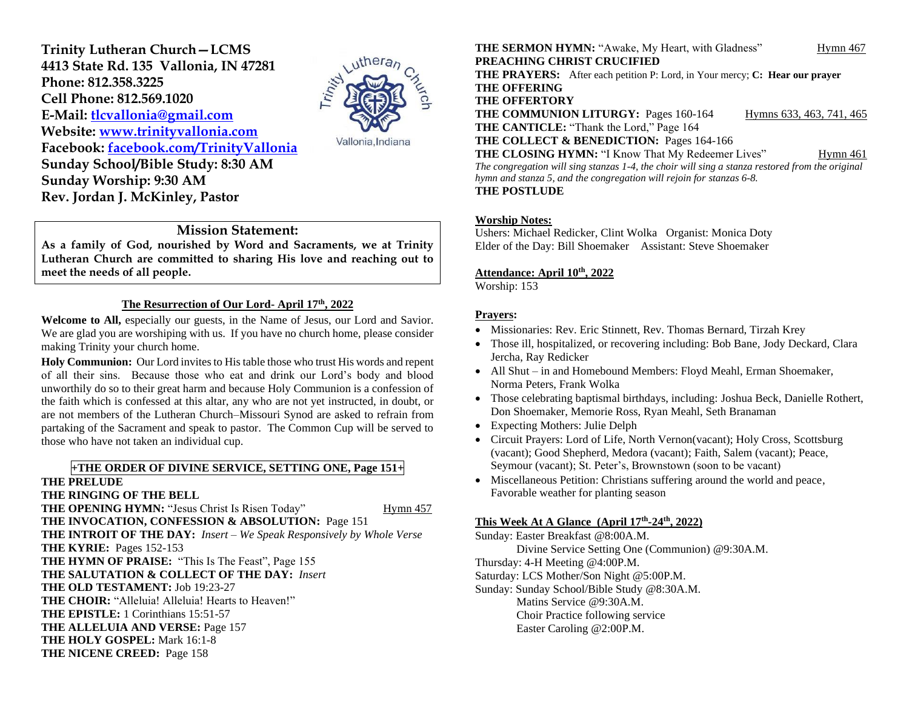**Trinity Lutheran Church—LCMS 4413 State Rd. 135 Vallonia, IN 47281 Phone: 812.358.3225 Cell Phone: 812.569.1020 E-Mail: [tlcvallonia@gmail.com](mailto:tlcvallonia@gmail.com) Website: [www.trinityvallonia.com](http://www.trinityvallonia.com/) Facebook: [facebook.com/TrinityVallonia](http://facebook.com/TrinityVallonia)  Sunday School/Bible Study: 8:30 AM Sunday Worship: 9:30 AM Rev. Jordan J. McKinley, Pastor**



Vallonia, Indiana

#### **Mission Statement:**

**As a family of God, nourished by Word and Sacraments, we at Trinity Lutheran Church are committed to sharing His love and reaching out to meet the needs of all people.**

## **The Resurrection of Our Lord- April 17th, 2022**

**Welcome to All,** especially our guests, in the Name of Jesus, our Lord and Savior. We are glad you are worshiping with us. If you have no church home, please consider making Trinity your church home.

**Holy Communion:** Our Lord invites to His table those who trust His words and repent of all their sins. Because those who eat and drink our Lord's body and blood unworthily do so to their great harm and because Holy Communion is a confession of the faith which is confessed at this altar, any who are not yet instructed, in doubt, or are not members of the Lutheran Church–Missouri Synod are asked to refrain from partaking of the Sacrament and speak to pastor. The Common Cup will be served to those who have not taken an individual cup.

# **+THE ORDER OF DIVINE SERVICE, SETTING ONE, Page 151+**

**THE PRELUDE THE RINGING OF THE BELL**

**THE OPENING HYMN:** "Jesus Christ Is Risen Today" Hymn 457 **THE INVOCATION, CONFESSION & ABSOLUTION:** Page 151 **THE INTROIT OF THE DAY:** *Insert – We Speak Responsively by Whole Verse* **THE KYRIE:** Pages 152-153 **THE HYMN OF PRAISE:** "This Is The Feast", Page 155 **THE SALUTATION & COLLECT OF THE DAY:** *Insert* **THE OLD TESTAMENT:** Job 19:23-27 THE CHOIR: "Alleluia! Alleluia! Hearts to Heaven!" **THE EPISTLE:** 1 Corinthians 15:51-57 **THE ALLELUIA AND VERSE:** Page 157 **THE HOLY GOSPEL:** Mark 16:1-8 **THE NICENE CREED:** Page 158

**THE SERMON HYMN:** "Awake, My Heart, with Gladness" Hymn 467 **PREACHING CHRIST CRUCIFIED THE PRAYERS:** After each petition P: Lord, in Your mercy; **C: Hear our prayer THE OFFERING THE OFFERTORY THE COMMUNION LITURGY:** Pages 160-164 Hymns 633, 463, 741, 465 **THE CANTICLE:** "Thank the Lord," Page 164 **THE COLLECT & BENEDICTION:** Pages 164-166 **THE CLOSING HYMN:** "I Know That My Redeemer Lives" Hymn 461 *The congregation will sing stanzas 1-4, the choir will sing a stanza restored from the original hymn and stanza 5, and the congregation will rejoin for stanzas 6-8.* **THE POSTLUDE**

#### **Worship Notes:**

Ushers: Michael Redicker, Clint Wolka Organist: Monica Doty Elder of the Day: Bill Shoemaker Assistant: Steve Shoemaker

#### **Attendance: April 10th, 2022**

Worship: 153

#### **Prayers:**

- Missionaries: Rev. Eric Stinnett, Rev. Thomas Bernard, Tirzah Krey
- Those ill, hospitalized, or recovering including: Bob Bane, Jody Deckard, Clara Jercha, Ray Redicker
- All Shut in and Homebound Members: Floyd Meahl, Erman Shoemaker, Norma Peters, Frank Wolka
- Those celebrating baptismal birthdays, including: Joshua Beck, Danielle Rothert, Don Shoemaker, Memorie Ross, Ryan Meahl, Seth Branaman
- Expecting Mothers: Julie Delph
- Circuit Prayers: Lord of Life, North Vernon(vacant); Holy Cross, Scottsburg (vacant); Good Shepherd, Medora (vacant); Faith, Salem (vacant); Peace, Seymour (vacant); St. Peter's, Brownstown (soon to be vacant)
- Miscellaneous Petition: Christians suffering around the world and peace, Favorable weather for planting season

#### **This Week At A Glance (April 17 th -24th , 2022)**

Sunday: Easter Breakfast @8:00A.M. Divine Service Setting One (Communion) @9:30A.M. Thursday: 4-H Meeting @4:00P.M. Saturday: LCS Mother/Son Night @5:00P.M. Sunday: Sunday School/Bible Study @8:30A.M. Matins Service @9:30A.M. Choir Practice following service Easter Caroling @2:00P.M.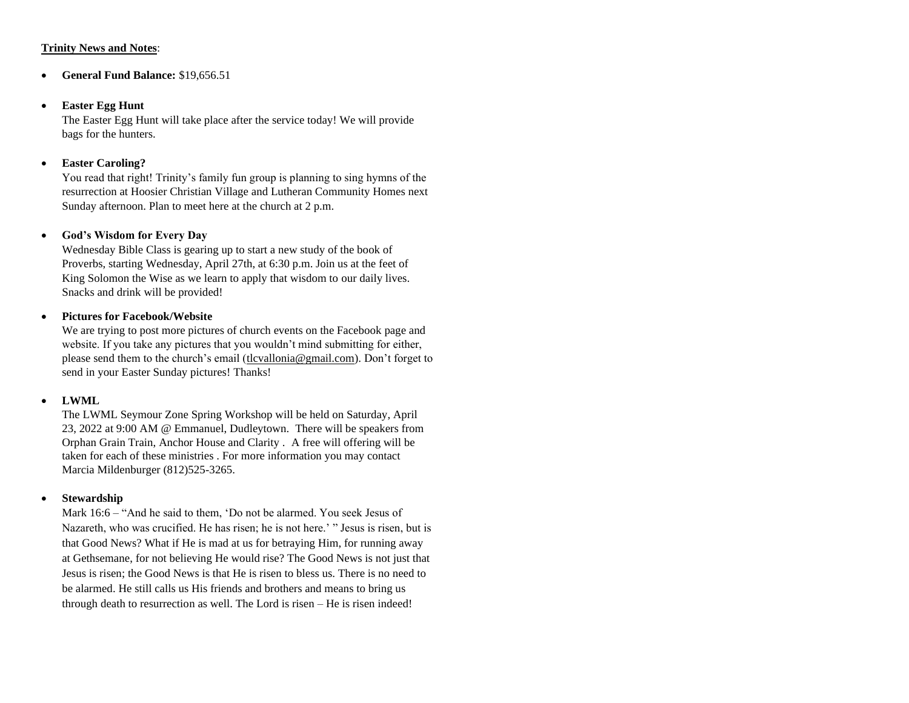#### **Trinity News and Notes**:

• **General Fund Balance:** \$19,656.51

## • **Easter Egg Hunt**

The Easter Egg Hunt will take place after the service today! We will provide bags for the hunters.

## • **Easter Caroling?**

You read that right! Trinity's family fun group is planning to sing hymns of the resurrection at Hoosier Christian Village and Lutheran Community Homes next Sunday afternoon. Plan to meet here at the church at 2 p.m.

## • **God's Wisdom for Every Day**

Wednesday Bible Class is gearing up to start a new study of the book of Proverbs, starting Wednesday, April 27th, at 6:30 p.m. Join us at the feet of King Solomon the Wise as we learn to apply that wisdom to our daily lives. Snacks and drink will be provided!

## • **Pictures for Facebook/Website**

We are trying to post more pictures of church events on the Facebook page and website. If you take any pictures that you wouldn't mind submitting for either, please send them to the church's email [\(tlcvallonia@gmail.com\)](mailto:tlcvallonia@gmail.com). Don't forget to send in your Easter Sunday pictures! Thanks!

## • **LWML**

The LWML Seymour Zone Spring Workshop will be held on Saturday, April 23, 2022 at 9:00 AM @ Emmanuel, Dudleytown. There will be speakers from Orphan Grain Train, Anchor House and Clarity . A free will offering will be taken for each of these ministries . For more information you may contact Marcia Mildenburger (812)525-3265.

## • **Stewardship**

Mark 16:6 – "And he said to them, 'Do not be alarmed. You seek Jesus of Nazareth, who was crucified. He has risen; he is not here.' " Jesus is risen, but is that Good News? What if He is mad at us for betraying Him, for running away at Gethsemane, for not believing He would rise? The Good News is not just that Jesus is risen; the Good News is that He is risen to bless us. There is no need to be alarmed. He still calls us His friends and brothers and means to bring us through death to resurrection as well. The Lord is risen – He is risen indeed!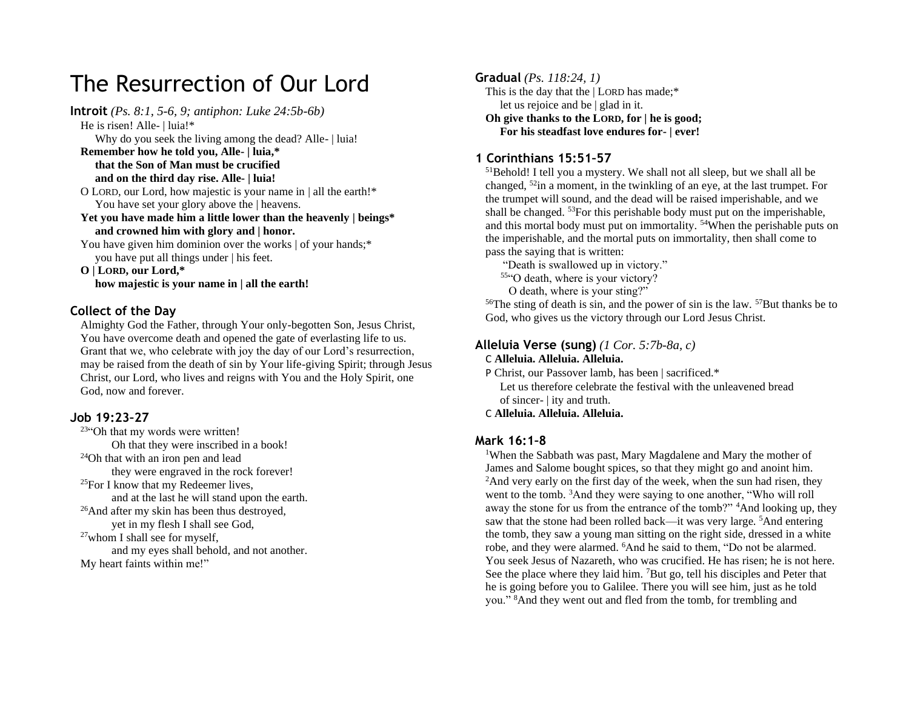# The Resurrection of Our Lord

**Introit** *(Ps. 8:1, 5-6, 9; antiphon: Luke 24:5b-6b)*

He is risen! Alle- | luia!\* Why do you seek the living among the dead? Alle- | luia!

- **Remember how he told you, Alle- | luia,\* that the Son of Man must be crucified and on the third day rise. Alle- | luia!**
- O LORD, our Lord, how majestic is your name in | all the earth!\* You have set your glory above the | heavens.
- **Yet you have made him a little lower than the heavenly | beings\* and crowned him with glory and | honor.**
- You have given him dominion over the works  $\vert$  of your hands;\* you have put all things under | his feet.
- **O | LORD, our Lord,\* how majestic is your name in | all the earth!**

# **Collect of the Day**

Almighty God the Father, through Your only-begotten Son, Jesus Christ, You have overcome death and opened the gate of everlasting life to us. Grant that we, who celebrate with joy the day of our Lord's resurrection, may be raised from the death of sin by Your life-giving Spirit; through Jesus Christ, our Lord, who lives and reigns with You and the Holy Spirit, one God, now and forever.

# **Job 19:23–27**

<sup>23</sup>"Oh that my words were written!

Oh that they were inscribed in a book!

<sup>24</sup>Oh that with an iron pen and lead

they were engraved in the rock forever!

<sup>25</sup>For I know that my Redeemer lives,

and at the last he will stand upon the earth. <sup>26</sup>And after my skin has been thus destroyed,

yet in my flesh I shall see God,

 $27$ whom I shall see for myself,

and my eyes shall behold, and not another. My heart faints within me!"

**Gradual** *(Ps. 118:24, 1)*

This is the day that the | LORD has made;\* let us rejoice and be | glad in it.

**Oh give thanks to the LORD, for | he is good; For his steadfast love endures for- | ever!**

# **1 Corinthians 15:51–57**

<sup>51</sup>Behold! I tell you a mystery. We shall not all sleep, but we shall all be changed, <sup>52</sup>in a moment, in the twinkling of an eye, at the last trumpet. For the trumpet will sound, and the dead will be raised imperishable, and we shall be changed. <sup>53</sup>For this perishable body must put on the imperishable, and this mortal body must put on immortality. <sup>54</sup>When the perishable puts on the imperishable, and the mortal puts on immortality, then shall come to pass the saying that is written:

"Death is swallowed up in victory."

<sup>55</sup>"O death, where is your victory?

O death, where is your sting?"

 $56$ The sting of death is sin, and the power of sin is the law.  $57$ But thanks be to God, who gives us the victory through our Lord Jesus Christ.

# **Alleluia Verse (sung)** *(1 Cor. 5:7b-8a, c)*

#### C **Alleluia. Alleluia. Alleluia.**

P Christ, our Passover lamb, has been | sacrificed.\*

 Let us therefore celebrate the festival with the unleavened bread of sincer- | ity and truth.

C **Alleluia. Alleluia. Alleluia.**

# **Mark 16:1–8**

<sup>1</sup>When the Sabbath was past, Mary Magdalene and Mary the mother of James and Salome bought spices, so that they might go and anoint him.  $2$ And very early on the first day of the week, when the sun had risen, they went to the tomb. <sup>3</sup>And they were saying to one another, "Who will roll away the stone for us from the entrance of the tomb?" <sup>4</sup>And looking up, they saw that the stone had been rolled back—it was very large. <sup>5</sup>And entering the tomb, they saw a young man sitting on the right side, dressed in a white robe, and they were alarmed. <sup>6</sup>And he said to them, "Do not be alarmed. You seek Jesus of Nazareth, who was crucified. He has risen; he is not here. See the place where they laid him. <sup>7</sup>But go, tell his disciples and Peter that he is going before you to Galilee. There you will see him, just as he told you." 8And they went out and fled from the tomb, for trembling and